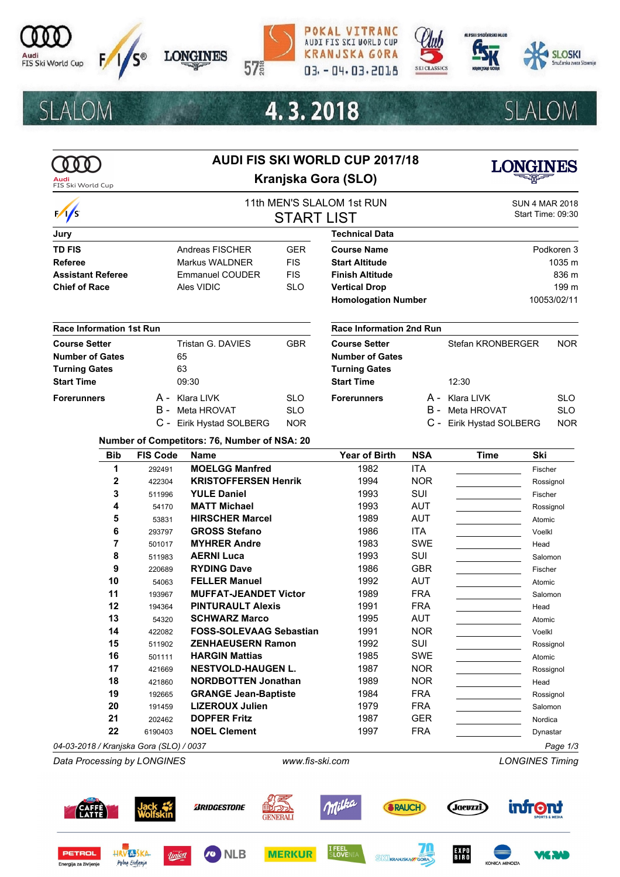

**SLALOM** 











# 4.3.2018



**SLALOM** 

|                                         | <b>AUDI FIS SKI WORLD CUP 2017/18</b> |                                                                |                                  |                                 |                    |                                          |                    |  |
|-----------------------------------------|---------------------------------------|----------------------------------------------------------------|----------------------------------|---------------------------------|--------------------|------------------------------------------|--------------------|--|
| Audi<br>FIS Ski World Cup               |                                       | Kranjska Gora (SLO)                                            |                                  |                                 |                    |                                          |                    |  |
|                                         |                                       |                                                                | 11th MEN'S SLALOM 1st RUN        |                                 |                    | <b>SUN 4 MAR 2018</b>                    |                    |  |
| $\frac{1}{s}$                           |                                       | <b>START LIST</b>                                              |                                  |                                 |                    |                                          | Start Time: 09:30  |  |
| Jury                                    |                                       |                                                                |                                  | <b>Technical Data</b>           |                    |                                          |                    |  |
| <b>TD FIS</b>                           |                                       | Andreas FISCHER                                                | <b>GER</b><br><b>Course Name</b> |                                 |                    | Podkoren 3                               |                    |  |
| <b>Referee</b>                          |                                       | <b>FIS</b><br>Markus WALDNER<br><b>Start Altitude</b>          |                                  |                                 |                    |                                          | 1035 m             |  |
| <b>Assistant Referee</b>                |                                       | <b>FIS</b><br><b>Emmanuel COUDER</b><br><b>Finish Altitude</b> |                                  |                                 |                    | 836 m                                    |                    |  |
| <b>Chief of Race</b>                    |                                       | Ales VIDIC                                                     | <b>SLO</b>                       | <b>Vertical Drop</b>            |                    |                                          | 199 m              |  |
|                                         |                                       |                                                                |                                  | <b>Homologation Number</b>      |                    |                                          | 10053/02/11        |  |
| <b>Race Information 1st Run</b>         |                                       |                                                                |                                  | <b>Race Information 2nd Run</b> |                    |                                          |                    |  |
| <b>Course Setter</b>                    |                                       | Tristan G. DAVIES                                              | <b>GBR</b>                       | <b>Course Setter</b>            |                    | Stefan KRONBERGER                        | <b>NOR</b>         |  |
| <b>Number of Gates</b>                  |                                       | 65                                                             |                                  | <b>Number of Gates</b>          |                    |                                          |                    |  |
| <b>Turning Gates</b>                    |                                       | 63                                                             |                                  | <b>Turning Gates</b>            |                    |                                          |                    |  |
| <b>Start Time</b>                       |                                       | 09:30                                                          |                                  | <b>Start Time</b>               |                    | 12:30                                    |                    |  |
| <b>Forerunners</b>                      |                                       | A - Klara LIVK                                                 | <b>SLO</b>                       | <b>Forerunners</b>              |                    | A - Klara LIVK                           | <b>SLO</b>         |  |
|                                         | B -                                   | Meta HROVAT                                                    | <b>SLO</b>                       |                                 |                    | B - Meta HROVAT                          | <b>SLO</b>         |  |
|                                         |                                       | C - Eirik Hystad SOLBERG                                       | <b>NOR</b>                       |                                 |                    | C - Eirik Hystad SOLBERG                 | <b>NOR</b>         |  |
|                                         |                                       | Number of Competitors: 76, Number of NSA: 20                   |                                  |                                 |                    |                                          |                    |  |
| <b>Bib</b>                              | <b>FIS Code</b>                       | <b>Name</b>                                                    |                                  | <b>Year of Birth</b>            | <b>NSA</b>         | <b>Time</b>                              | Ski                |  |
| 1                                       | 292491                                | <b>MOELGG Manfred</b>                                          |                                  | 1982                            | <b>ITA</b>         |                                          | Fischer            |  |
| 2                                       | 422304                                | <b>KRISTOFFERSEN Henrik</b>                                    |                                  | 1994                            | <b>NOR</b>         |                                          | Rossignol          |  |
| 3                                       | 511996                                | <b>YULE Daniel</b>                                             |                                  | 1993                            | <b>SUI</b>         |                                          | Fischer            |  |
| 4                                       | 54170                                 | <b>MATT Michael</b>                                            |                                  | 1993                            | <b>AUT</b>         |                                          | Rossignol          |  |
| 5                                       | 53831                                 | <b>HIRSCHER Marcel</b>                                         |                                  | 1989                            | <b>AUT</b>         |                                          | Atomic             |  |
| 6                                       | 293797                                | <b>GROSS Stefano</b>                                           |                                  | 1986                            | ITA.<br><b>SWE</b> |                                          | Voelkl             |  |
| 7<br>8                                  | 501017                                | <b>MYHRER Andre</b><br><b>AERNI Luca</b>                       |                                  | 1983<br>1993                    | <b>SUI</b>         |                                          | Head               |  |
| 9                                       | 511983<br>220689                      | <b>RYDING Dave</b>                                             |                                  | 1986                            | <b>GBR</b>         |                                          | Salomon<br>Fischer |  |
| 10                                      | 54063                                 | <b>FELLER Manuel</b>                                           |                                  | 1992                            | <b>AUT</b>         |                                          | Atomic             |  |
| 11                                      | 193967                                | <b>MUFFAT-JEANDET Victor</b>                                   |                                  | 1989                            | <b>FRA</b>         |                                          | Salomon            |  |
| 12                                      | 194364                                | <b>PINTURAULT Alexis</b>                                       |                                  | 1991                            | <b>FRA</b>         |                                          | Head               |  |
| 13                                      | 54320                                 | <b>SCHWARZ Marco</b>                                           |                                  | 1995                            | AUT                |                                          | Atomic             |  |
| 14                                      | 422082                                | <b>FOSS-SOLEVAAG Sebastian</b>                                 |                                  | 1991                            | <b>NOR</b>         |                                          | Voelkl             |  |
| 15                                      | 511902                                | <b>ZENHAEUSERN Ramon</b>                                       |                                  | 1992                            | SUI                |                                          | Rossignol          |  |
| 16                                      | 501111                                | <b>HARGIN Mattias</b>                                          |                                  | 1985                            | <b>SWE</b>         |                                          | Atomic             |  |
| 17                                      | 421669                                | <b>NESTVOLD-HAUGEN L.</b>                                      |                                  | 1987                            | <b>NOR</b>         |                                          | Rossignol          |  |
| 18                                      | 421860                                | <b>NORDBOTTEN Jonathan</b>                                     |                                  | 1989                            | <b>NOR</b>         |                                          | Head               |  |
| 19                                      | 192665                                | <b>GRANGE Jean-Baptiste</b>                                    |                                  | 1984                            | <b>FRA</b>         | <u> 1999 - Jan Albert III, politik a</u> | Rossignol          |  |
| 20                                      | 191459                                | <b>LIZEROUX Julien</b>                                         |                                  | 1979                            | <b>FRA</b>         | and the control of the control of        | Salomon            |  |
| 21                                      | 202462                                | <b>DOPFER Fritz</b>                                            |                                  | 1987                            | <b>GER</b>         |                                          | Nordica            |  |
| 22                                      | 6190403                               | <b>NOEL Clement</b>                                            |                                  | 1997                            | <b>FRA</b>         |                                          | Dynastar           |  |
| 04-03-2018 / Kranjska Gora (SLO) / 0037 |                                       |                                                                |                                  |                                 |                    |                                          | Page 1/3           |  |

*Data Processing by LONGINES www.fis-ski.com LONGINES Timing*

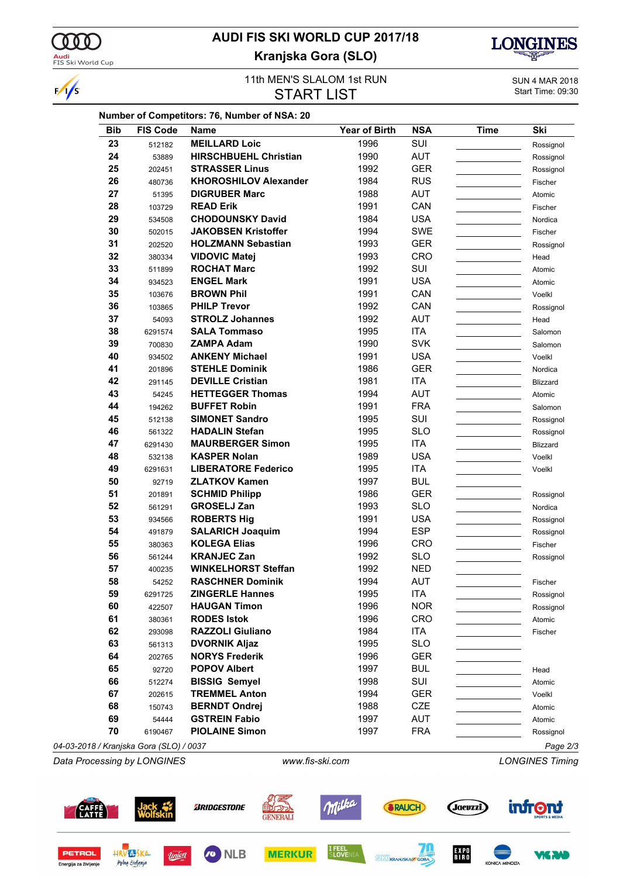

 $\frac{1}{s}$ 

## **AUDI FIS SKI WORLD CUP 2017/18 Kranjska Gora (SLO)**



#### 11th MEN'S SLALOM 1st RUN<br>
SUN 4 MAR 2018<br>
Start Time: 09:30 **START LIST**

| <b>Bib</b> | <b>FIS Code</b> | <b>Name</b>                  | <b>Year of Birth</b> | <b>NSA</b> | <b>Time</b> | Ski             |
|------------|-----------------|------------------------------|----------------------|------------|-------------|-----------------|
| 23         | 512182          | <b>MEILLARD Loic</b>         | 1996                 | SUI        |             | Rossignol       |
| 24         | 53889           | <b>HIRSCHBUEHL Christian</b> | 1990                 | <b>AUT</b> |             | Rossignol       |
| 25         | 202451          | <b>STRASSER Linus</b>        | 1992                 | <b>GER</b> |             | Rossignol       |
| 26         | 480736          | <b>KHOROSHILOV Alexander</b> | 1984                 | <b>RUS</b> |             | Fischer         |
| 27         | 51395           | <b>DIGRUBER Marc</b>         | 1988                 | <b>AUT</b> |             | Atomic          |
| 28         | 103729          | <b>READ Erik</b>             | 1991                 | CAN        |             | Fischer         |
| 29         | 534508          | <b>CHODOUNSKY David</b>      | 1984                 | <b>USA</b> |             | Nordica         |
| 30         | 502015          | <b>JAKOBSEN Kristoffer</b>   | 1994                 | SWE        |             | Fischer         |
| 31         | 202520          | <b>HOLZMANN Sebastian</b>    | 1993                 | <b>GER</b> |             | Rossignol       |
| 32         | 380334          | <b>VIDOVIC Matej</b>         | 1993                 | CRO        |             | Head            |
| 33         | 511899          | <b>ROCHAT Marc</b>           | 1992                 | SUI        |             | Atomic          |
| 34         | 934523          | <b>ENGEL Mark</b>            | 1991                 | <b>USA</b> |             | Atomic          |
| 35         | 103676          | <b>BROWN Phil</b>            | 1991                 | CAN        |             | Voelkl          |
| 36         | 103865          | <b>PHILP Trevor</b>          | 1992                 | CAN        |             | Rossignol       |
| 37         | 54093           | <b>STROLZ Johannes</b>       | 1992                 | <b>AUT</b> |             | Head            |
| 38         | 6291574         | <b>SALA Tommaso</b>          | 1995                 | ITA        |             | Salomon         |
| 39         | 700830          | <b>ZAMPA Adam</b>            | 1990                 | <b>SVK</b> |             | Salomon         |
| 40         | 934502          | <b>ANKENY Michael</b>        | 1991                 | <b>USA</b> |             | Voelkl          |
| 41         | 201896          | <b>STEHLE Dominik</b>        | 1986                 | <b>GER</b> |             | Nordica         |
| 42         | 291145          | <b>DEVILLE Cristian</b>      | 1981                 | ITA        |             | <b>Blizzard</b> |
| 43         | 54245           | <b>HETTEGGER Thomas</b>      | 1994                 | <b>AUT</b> |             | Atomic          |
| 44         | 194262          | <b>BUFFET Robin</b>          | 1991                 | <b>FRA</b> |             | Salomon         |
| 45         | 512138          | <b>SIMONET Sandro</b>        | 1995                 | SUI        |             | Rossignol       |
| 46         | 561322          | <b>HADALIN Stefan</b>        | 1995                 | <b>SLO</b> |             |                 |
| 47         |                 | <b>MAURBERGER Simon</b>      | 1995                 | ITA        |             | Rossignol       |
| 48         | 6291430         | <b>KASPER Nolan</b>          | 1989                 | <b>USA</b> |             | <b>Blizzard</b> |
| 49         | 532138          | <b>LIBERATORE Federico</b>   | 1995                 | ITA        |             | Voelkl          |
|            | 6291631         |                              |                      |            |             | Voelkl          |
| 50         | 92719           | <b>ZLATKOV Kamen</b>         | 1997                 | <b>BUL</b> |             |                 |
| 51         | 201891          | <b>SCHMID Philipp</b>        | 1986                 | <b>GER</b> |             | Rossignol       |
| 52         | 561291          | <b>GROSELJ Zan</b>           | 1993                 | <b>SLO</b> |             | Nordica         |
| 53         | 934566          | <b>ROBERTS Hig</b>           | 1991                 | <b>USA</b> |             | Rossignol       |
| 54         | 491879          | <b>SALARICH Joaquim</b>      | 1994                 | <b>ESP</b> |             | Rossignol       |
| 55         | 380363          | <b>KOLEGA Elias</b>          | 1996                 | <b>CRO</b> |             | Fischer         |
| 56         | 561244          | <b>KRANJEC Zan</b>           | 1992                 | <b>SLO</b> |             | Rossignol       |
| 57         | 400235          | <b>WINKELHORST Steffan</b>   | 1992                 | <b>NED</b> |             |                 |
| 58         | 54252           | <b>RASCHNER Dominik</b>      | 1994                 | <b>AUT</b> |             | Fischer         |
| 59         | 6291725         | <b>ZINGERLE Hannes</b>       | 1995                 | ITA        |             | Rossignol       |
| 60         | 422507          | <b>HAUGAN Timon</b>          | 1996                 | <b>NOR</b> |             | Rossignol       |
| 61         | 380361          | <b>RODES Istok</b>           | 1996                 | <b>CRO</b> |             | Atomic          |
| 62         | 293098          | <b>RAZZOLI Giuliano</b>      | 1984                 | ITA        |             | Fischer         |
| 63         | 561313          | <b>DVORNIK Aljaz</b>         | 1995                 | <b>SLO</b> |             |                 |
| 64         | 202765          | <b>NORYS Frederik</b>        | 1996                 | <b>GER</b> |             |                 |
| 65         | 92720           | <b>POPOV Albert</b>          | 1997                 | <b>BUL</b> |             | Head            |
| 66         | 512274          | <b>BISSIG Semyel</b>         | 1998                 | SUI        |             | Atomic          |
| 67         | 202615          | <b>TREMMEL Anton</b>         | 1994                 | <b>GER</b> |             | Voelkl          |
| 68         | 150743          | <b>BERNDT Ondrej</b>         | 1988                 | <b>CZE</b> |             | Atomic          |
| 69         | 54444           | <b>GSTREIN Fabio</b>         | 1997                 | <b>AUT</b> |             | Atomic          |
| 70         | 6190467         | <b>PIOLAINE Simon</b>        | 1997                 | <b>FRA</b> |             | Rossignol       |
|            |                 |                              |                      |            |             |                 |